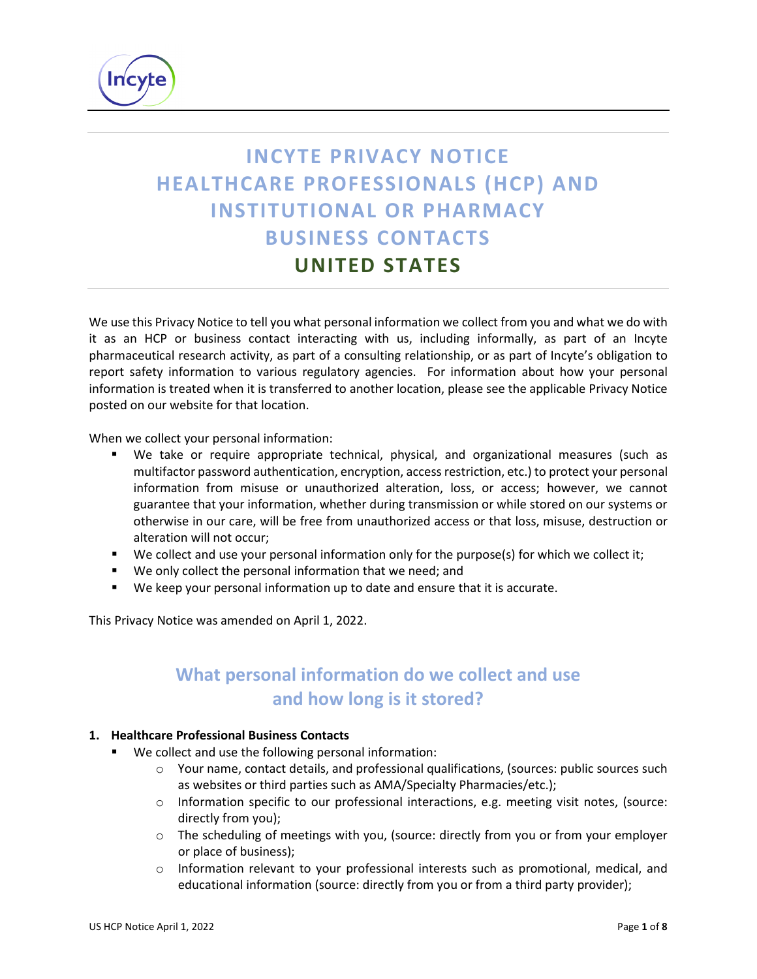

# **INCYTE PRIVACY NOTICE HEALTHCARE PROFESSIONALS (HCP) AND INSTITUTIONAL OR PHARMACY BUSINESS CONTACTS UNITED STATES**

We use this Privacy Notice to tell you what personal information we collect from you and what we do with it as an HCP or business contact interacting with us, including informally, as part of an Incyte pharmaceutical research activity, as part of a consulting relationship, or as part of Incyte's obligation to report safety information to various regulatory agencies. For information about how your personal information is treated when it is transferred to another location, please see the applicable Privacy Notice posted on our website for that location.

When we collect your personal information:

- We take or require appropriate technical, physical, and organizational measures (such as multifactor password authentication, encryption, access restriction, etc.) to protect your personal information from misuse or unauthorized alteration, loss, or access; however, we cannot guarantee that your information, whether during transmission or while stored on our systems or otherwise in our care, will be free from unauthorized access or that loss, misuse, destruction or alteration will not occur;
- We collect and use your personal information only for the purpose(s) for which we collect it;
- We only collect the personal information that we need; and
- We keep your personal information up to date and ensure that it is accurate.

This Privacy Notice was amended on April 1, 2022.

# **What personal information do we collect and use and how long is it stored?**

#### **1. Healthcare Professional Business Contacts**

- We collect and use the following personal information:
	- o Your name, contact details, and professional qualifications, (sources: public sources such as websites or third parties such as AMA/Specialty Pharmacies/etc.);
	- o Information specific to our professional interactions, e.g. meeting visit notes, (source: directly from you);
	- o The scheduling of meetings with you, (source: directly from you or from your employer or place of business);
	- $\circ$  Information relevant to your professional interests such as promotional, medical, and educational information (source: directly from you or from a third party provider);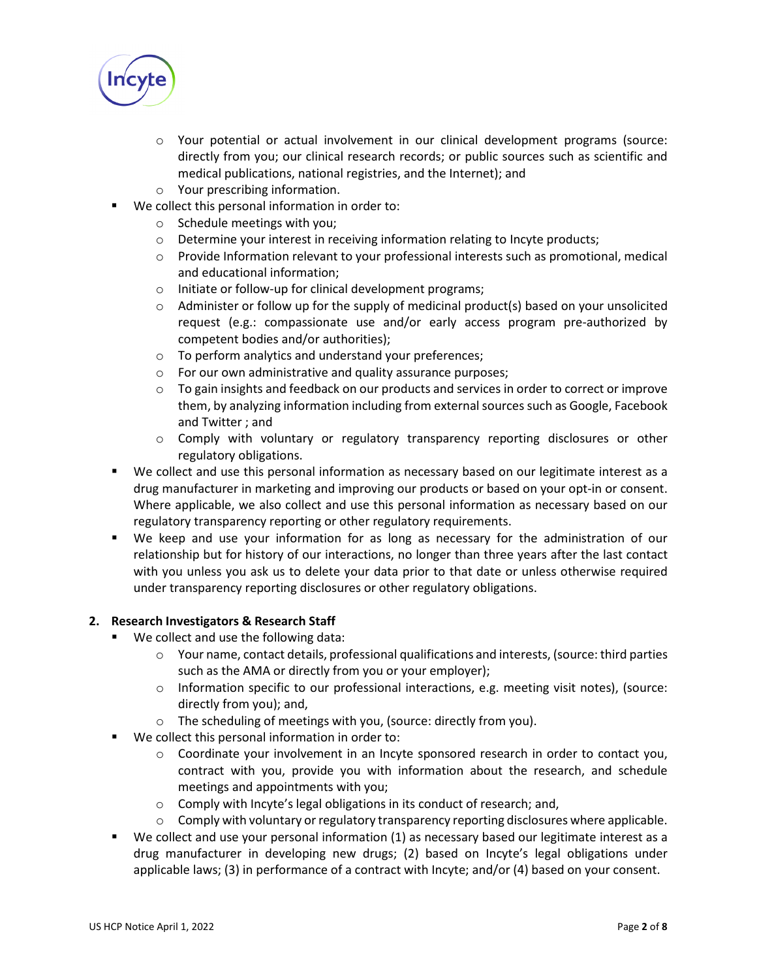

- o Your potential or actual involvement in our clinical development programs (source: directly from you; our clinical research records; or public sources such as scientific and medical publications, national registries, and the Internet); and
- o Your prescribing information.
- We collect this personal information in order to:
	- o Schedule meetings with you;
	- o Determine your interest in receiving information relating to Incyte products;
	- o Provide Information relevant to your professional interests such as promotional, medical and educational information;
	- o Initiate or follow-up for clinical development programs;
	- $\circ$  Administer or follow up for the supply of medicinal product(s) based on your unsolicited request (e.g.: compassionate use and/or early access program pre-authorized by competent bodies and/or authorities);
	- o To perform analytics and understand your preferences;
	- o For our own administrative and quality assurance purposes;
	- $\circ$  To gain insights and feedback on our products and services in order to correct or improve them, by analyzing information including from external sources such as Google, Facebook and Twitter ; and
	- o Comply with voluntary or regulatory transparency reporting disclosures or other regulatory obligations.
- We collect and use this personal information as necessary based on our legitimate interest as a drug manufacturer in marketing and improving our products or based on your opt-in or consent. Where applicable, we also collect and use this personal information as necessary based on our regulatory transparency reporting or other regulatory requirements.
- We keep and use your information for as long as necessary for the administration of our relationship but for history of our interactions, no longer than three years after the last contact with you unless you ask us to delete your data prior to that date or unless otherwise required under transparency reporting disclosures or other regulatory obligations.

#### **2. Research Investigators & Research Staff**

- We collect and use the following data:
	- $\circ$  Your name, contact details, professional qualifications and interests, (source: third parties such as the AMA or directly from you or your employer);
	- $\circ$  Information specific to our professional interactions, e.g. meeting visit notes), (source: directly from you); and,
	- o The scheduling of meetings with you, (source: directly from you).
- We collect this personal information in order to:
	- o Coordinate your involvement in an Incyte sponsored research in order to contact you, contract with you, provide you with information about the research, and schedule meetings and appointments with you;
	- o Comply with Incyte's legal obligations in its conduct of research; and,
	- $\circ$  Comply with voluntary or regulatory transparency reporting disclosures where applicable.
- We collect and use your personal information (1) as necessary based our legitimate interest as a drug manufacturer in developing new drugs; (2) based on Incyte's legal obligations under applicable laws; (3) in performance of a contract with Incyte; and/or (4) based on your consent.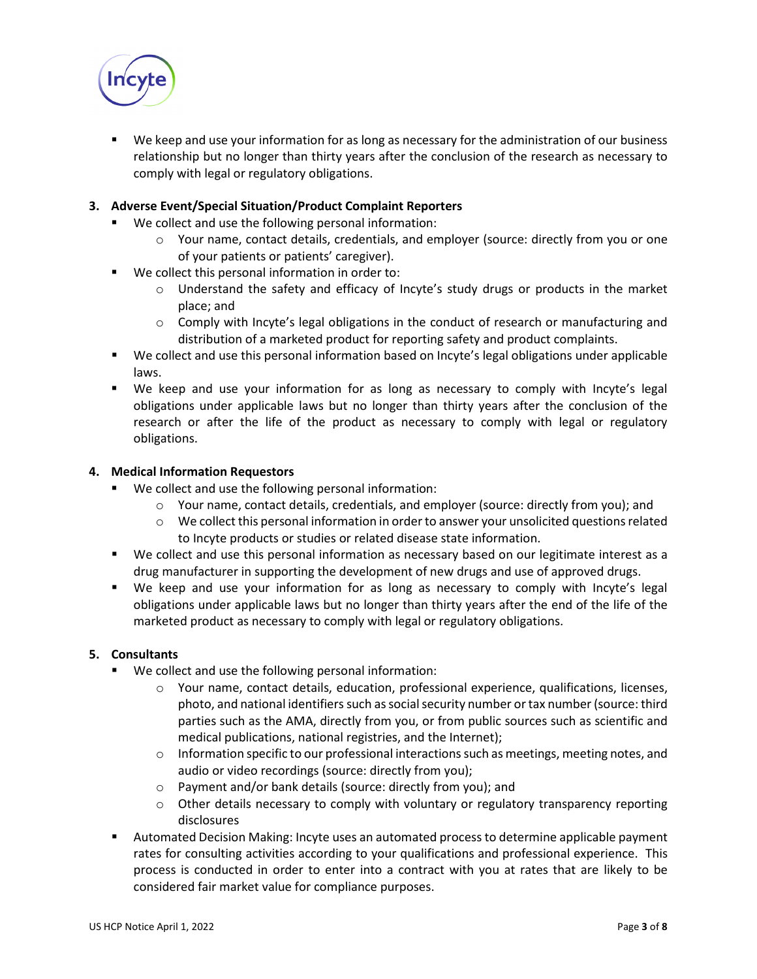

 We keep and use your information for as long as necessary for the administration of our business relationship but no longer than thirty years after the conclusion of the research as necessary to comply with legal or regulatory obligations.

#### **3. Adverse Event/Special Situation/Product Complaint Reporters**

- We collect and use the following personal information:
	- $\circ$  Your name, contact details, credentials, and employer (source: directly from you or one of your patients or patients' caregiver).
- We collect this personal information in order to:
	- o Understand the safety and efficacy of Incyte's study drugs or products in the market place; and
	- $\circ$  Comply with Incyte's legal obligations in the conduct of research or manufacturing and distribution of a marketed product for reporting safety and product complaints.
- We collect and use this personal information based on Incyte's legal obligations under applicable laws.
- We keep and use your information for as long as necessary to comply with Incyte's legal obligations under applicable laws but no longer than thirty years after the conclusion of the research or after the life of the product as necessary to comply with legal or regulatory obligations.

#### **4. Medical Information Requestors**

- We collect and use the following personal information:
	- o Your name, contact details, credentials, and employer (source: directly from you); and
	- o We collect this personal information in order to answer your unsolicited questions related to Incyte products or studies or related disease state information.
- We collect and use this personal information as necessary based on our legitimate interest as a drug manufacturer in supporting the development of new drugs and use of approved drugs.
- We keep and use your information for as long as necessary to comply with Incyte's legal obligations under applicable laws but no longer than thirty years after the end of the life of the marketed product as necessary to comply with legal or regulatory obligations.

#### **5. Consultants**

- We collect and use the following personal information:
	- o Your name, contact details, education, professional experience, qualifications, licenses, photo, and national identifiers such as social security number or tax number (source: third parties such as the AMA, directly from you, or from public sources such as scientific and medical publications, national registries, and the Internet);
	- $\circ$  Information specific to our professional interactions such as meetings, meeting notes, and audio or video recordings (source: directly from you);
	- o Payment and/or bank details (source: directly from you); and
	- o Other details necessary to comply with voluntary or regulatory transparency reporting disclosures
- Automated Decision Making: Incyte uses an automated process to determine applicable payment rates for consulting activities according to your qualifications and professional experience. This process is conducted in order to enter into a contract with you at rates that are likely to be considered fair market value for compliance purposes.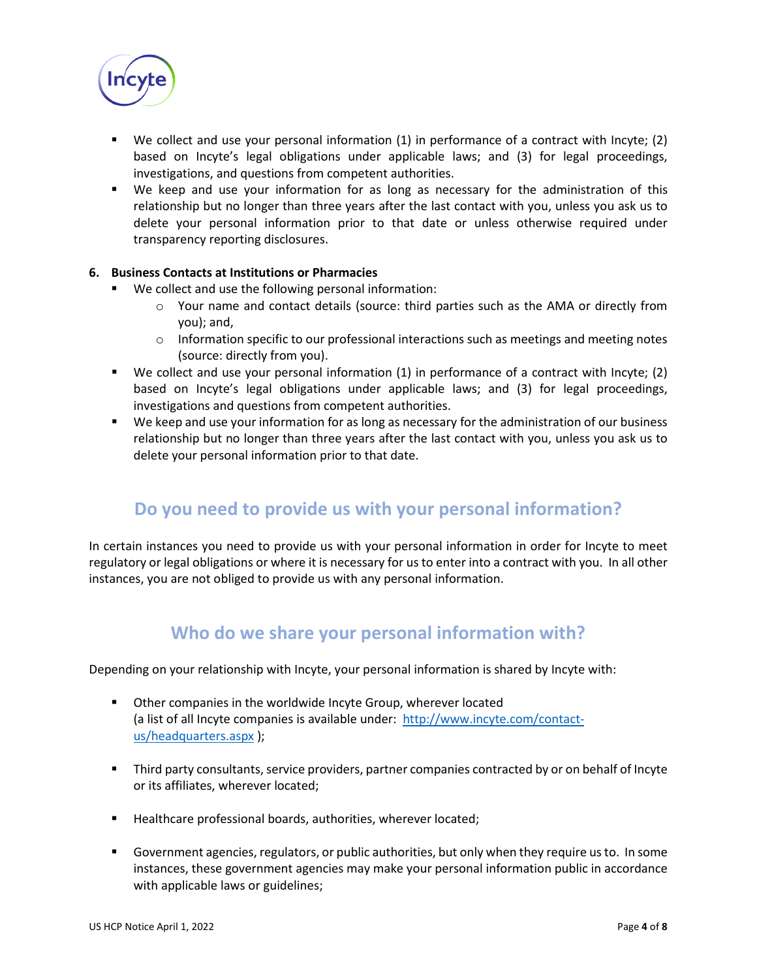

- We collect and use your personal information (1) in performance of a contract with Incyte; (2) based on Incyte's legal obligations under applicable laws; and (3) for legal proceedings, investigations, and questions from competent authorities.
- We keep and use your information for as long as necessary for the administration of this relationship but no longer than three years after the last contact with you, unless you ask us to delete your personal information prior to that date or unless otherwise required under transparency reporting disclosures.

#### **6. Business Contacts at Institutions or Pharmacies**

- We collect and use the following personal information:
	- o Your name and contact details (source: third parties such as the AMA or directly from you); and,
	- $\circ$  Information specific to our professional interactions such as meetings and meeting notes (source: directly from you).
- We collect and use your personal information (1) in performance of a contract with Incyte; (2) based on Incyte's legal obligations under applicable laws; and (3) for legal proceedings, investigations and questions from competent authorities.
- We keep and use your information for as long as necessary for the administration of our business relationship but no longer than three years after the last contact with you, unless you ask us to delete your personal information prior to that date.

### **Do you need to provide us with your personal information?**

In certain instances you need to provide us with your personal information in order for Incyte to meet regulatory or legal obligations or where it is necessary for us to enter into a contract with you. In all other instances, you are not obliged to provide us with any personal information.

### **Who do we share your personal information with?**

Depending on your relationship with Incyte, your personal information is shared by Incyte with:

- **•** Other companies in the worldwide Incyte Group, wherever located (a list of all Incyte companies is available under: [http://www.incyte.com/contact](http://www.incyte.com/contact-us/headquarters.aspx)[us/headquarters.aspx](http://www.incyte.com/contact-us/headquarters.aspx) );
- Third party consultants, service providers, partner companies contracted by or on behalf of Incyte or its affiliates, wherever located;
- Healthcare professional boards, authorities, wherever located;
- Government agencies, regulators, or public authorities, but only when they require us to. In some instances, these government agencies may make your personal information public in accordance with applicable laws or guidelines;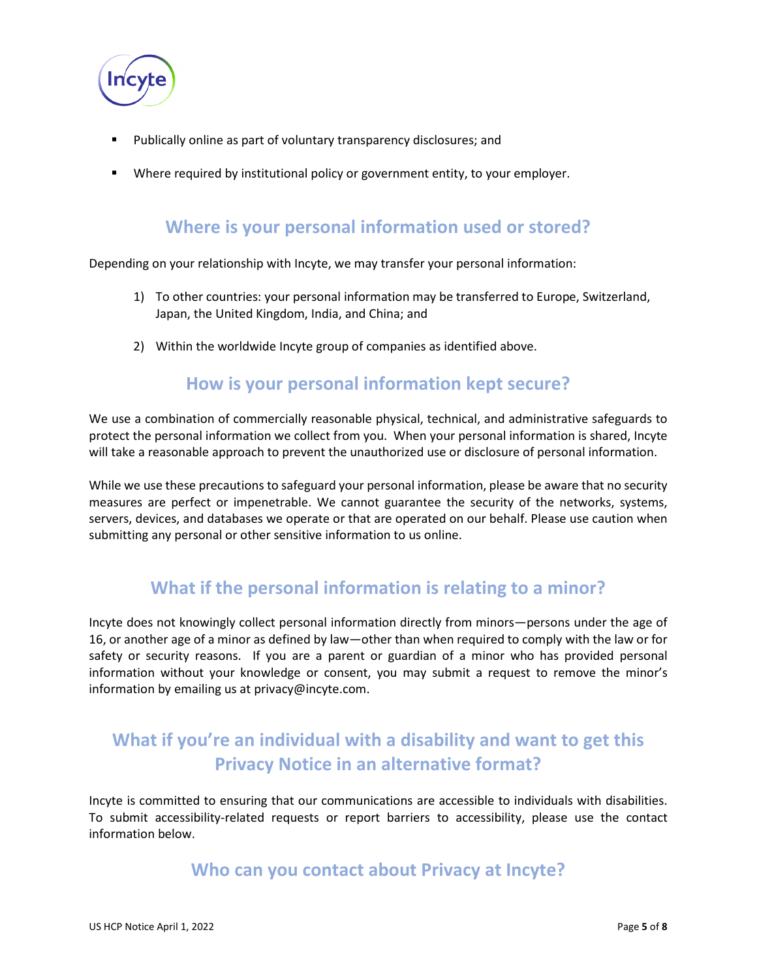

- Publically online as part of voluntary transparency disclosures; and
- **Where required by institutional policy or government entity, to your employer.**

### **Where is your personal information used or stored?**

Depending on your relationship with Incyte, we may transfer your personal information:

- 1) To other countries: your personal information may be transferred to Europe, Switzerland, Japan, the United Kingdom, India, and China; and
- 2) Within the worldwide Incyte group of companies as identified above.

### **How is your personal information kept secure?**

We use a combination of commercially reasonable physical, technical, and administrative safeguards to protect the personal information we collect from you. When your personal information is shared, Incyte will take a reasonable approach to prevent the unauthorized use or disclosure of personal information.

While we use these precautions to safeguard your personal information, please be aware that no security measures are perfect or impenetrable. We cannot guarantee the security of the networks, systems, servers, devices, and databases we operate or that are operated on our behalf. Please use caution when submitting any personal or other sensitive information to us online.

### **What if the personal information is relating to a minor?**

Incyte does not knowingly collect personal information directly from minors—persons under the age of 16, or another age of a minor as defined by law—other than when required to comply with the law or for safety or security reasons. If you are a parent or guardian of a minor who has provided personal information without your knowledge or consent, you may submit a request to remove the minor's information by emailing us at privacy@incyte.com.

# **What if you're an individual with a disability and want to get this Privacy Notice in an alternative format?**

Incyte is committed to ensuring that our communications are accessible to individuals with disabilities. To submit accessibility-related requests or report barriers to accessibility, please use the contact information below.

### **Who can you contact about Privacy at Incyte?**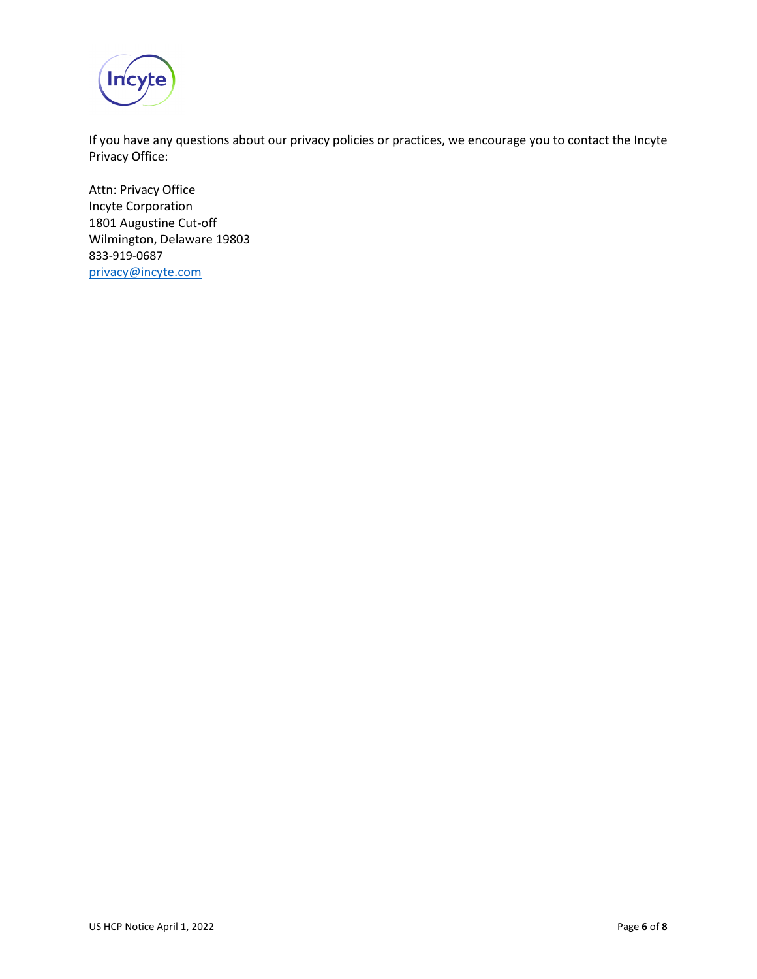

If you have any questions about our privacy policies or practices, we encourage you to contact the Incyte Privacy Office:

Attn: Privacy Office Incyte Corporation 1801 Augustine Cut-off Wilmington, Delaware 19803 833-919-0687 [privacy@incyte.com](mailto:privacy@incyte.com)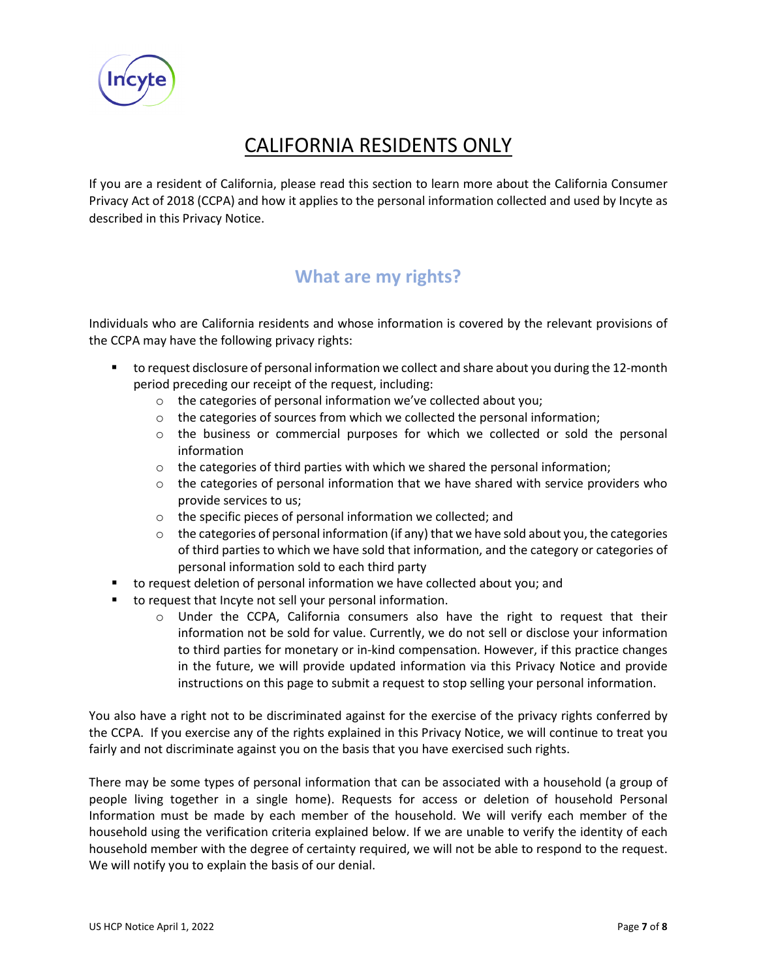

# CALIFORNIA RESIDENTS ONLY

If you are a resident of California, please read this section to learn more about the California Consumer Privacy Act of 2018 (CCPA) and how it applies to the personal information collected and used by Incyte as described in this Privacy Notice.

# **What are my rights?**

Individuals who are California residents and whose information is covered by the relevant provisions of the CCPA may have the following privacy rights:

- to request disclosure of personal information we collect and share about you during the 12-month period preceding our receipt of the request, including:
	- o the categories of personal information we've collected about you;
	- $\circ$  the categories of sources from which we collected the personal information;
	- o the business or commercial purposes for which we collected or sold the personal information
	- o the categories of third parties with which we shared the personal information;
	- $\circ$  the categories of personal information that we have shared with service providers who provide services to us;
	- o the specific pieces of personal information we collected; and
	- $\circ$  the categories of personal information (if any) that we have sold about you, the categories of third parties to which we have sold that information, and the category or categories of personal information sold to each third party
- to request deletion of personal information we have collected about you; and
- to request that Incyte not sell your personal information.
	- $\circ$  Under the CCPA, California consumers also have the right to request that their information not be sold for value. Currently, we do not sell or disclose your information to third parties for monetary or in-kind compensation. However, if this practice changes in the future, we will provide updated information via this Privacy Notice and provide instructions on this page to submit a request to stop selling your personal information.

You also have a right not to be discriminated against for the exercise of the privacy rights conferred by the CCPA. If you exercise any of the rights explained in this Privacy Notice, we will continue to treat you fairly and not discriminate against you on the basis that you have exercised such rights.

There may be some types of personal information that can be associated with a household (a group of people living together in a single home). Requests for access or deletion of household Personal Information must be made by each member of the household. We will verify each member of the household using the verification criteria explained below. If we are unable to verify the identity of each household member with the degree of certainty required, we will not be able to respond to the request. We will notify you to explain the basis of our denial.